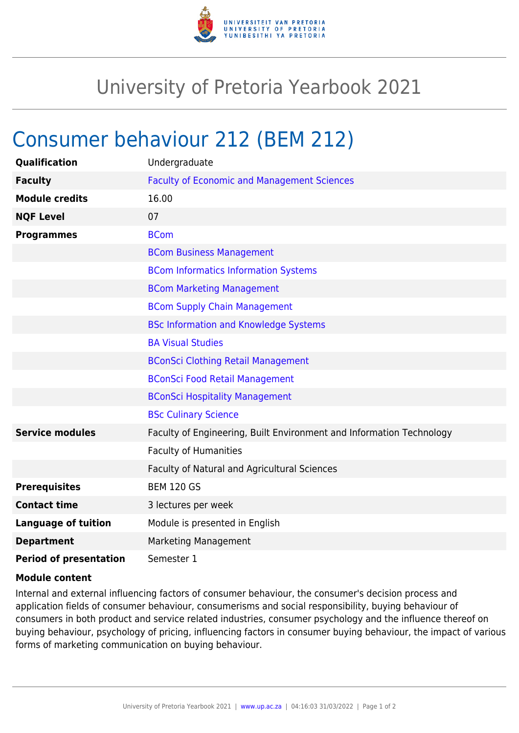

## University of Pretoria Yearbook 2021

## Consumer behaviour 212 (BEM 212)

| <b>Qualification</b>          | Undergraduate                                                        |
|-------------------------------|----------------------------------------------------------------------|
| <b>Faculty</b>                | <b>Faculty of Economic and Management Sciences</b>                   |
| <b>Module credits</b>         | 16.00                                                                |
| <b>NQF Level</b>              | 07                                                                   |
| <b>Programmes</b>             | <b>BCom</b>                                                          |
|                               | <b>BCom Business Management</b>                                      |
|                               | <b>BCom Informatics Information Systems</b>                          |
|                               | <b>BCom Marketing Management</b>                                     |
|                               | <b>BCom Supply Chain Management</b>                                  |
|                               | <b>BSc Information and Knowledge Systems</b>                         |
|                               | <b>BA Visual Studies</b>                                             |
|                               | <b>BConSci Clothing Retail Management</b>                            |
|                               | <b>BConSci Food Retail Management</b>                                |
|                               | <b>BConSci Hospitality Management</b>                                |
|                               | <b>BSc Culinary Science</b>                                          |
| <b>Service modules</b>        | Faculty of Engineering, Built Environment and Information Technology |
|                               | <b>Faculty of Humanities</b>                                         |
|                               | Faculty of Natural and Agricultural Sciences                         |
| <b>Prerequisites</b>          | <b>BEM 120 GS</b>                                                    |
| <b>Contact time</b>           | 3 lectures per week                                                  |
| <b>Language of tuition</b>    | Module is presented in English                                       |
| <b>Department</b>             | Marketing Management                                                 |
| <b>Period of presentation</b> | Semester 1                                                           |

## **Module content**

Internal and external influencing factors of consumer behaviour, the consumer's decision process and application fields of consumer behaviour, consumerisms and social responsibility, buying behaviour of consumers in both product and service related industries, consumer psychology and the influence thereof on buying behaviour, psychology of pricing, influencing factors in consumer buying behaviour, the impact of various forms of marketing communication on buying behaviour.